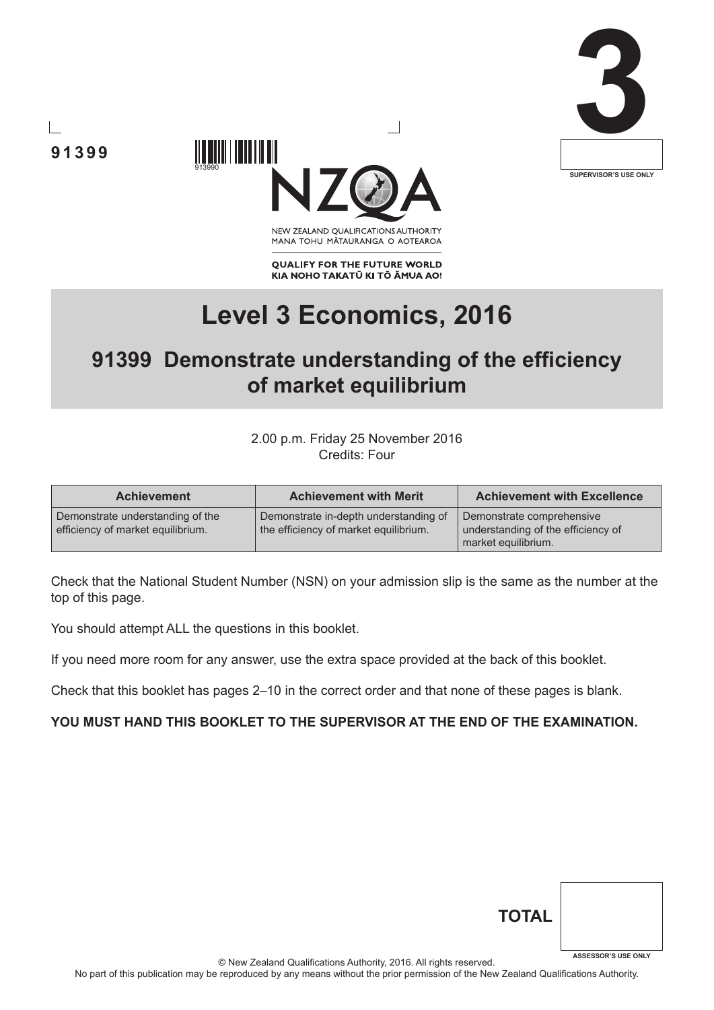





NEW ZEALAND OUALIFICATIONS AUTHORITY MANA TOHU MATAURANGA O AOTEAROA

**QUALIFY FOR THE FUTURE WORLD** KIA NOHO TAKATŪ KI TŌ ĀMUA AO!

# **Level 3 Economics, 2016**

# **91399 Demonstrate understanding of the efficiency of market equilibrium**

2.00 p.m. Friday 25 November 2016 Credits: Four

| <b>Achievement</b>                                                    | <b>Achievement with Merit</b>                                                  | <b>Achievement with Excellence</b>                                                     |
|-----------------------------------------------------------------------|--------------------------------------------------------------------------------|----------------------------------------------------------------------------------------|
| Demonstrate understanding of the<br>efficiency of market equilibrium. | Demonstrate in-depth understanding of<br>the efficiency of market equilibrium. | Demonstrate comprehensive<br>understanding of the efficiency of<br>market equilibrium. |

Check that the National Student Number (NSN) on your admission slip is the same as the number at the top of this page.

You should attempt ALL the questions in this booklet.

If you need more room for any answer, use the extra space provided at the back of this booklet.

Check that this booklet has pages 2–10 in the correct order and that none of these pages is blank.

#### **YOU MUST HAND THIS BOOKLET TO THE SUPERVISOR AT THE END OF THE EXAMINATION.**

| <b>TOTAL</b> |                            |
|--------------|----------------------------|
|              | <b>ASSESSOR'S USE ONLY</b> |

© New Zealand Qualifications Authority, 2016. All rights reserved.

No part of this publication may be reproduced by any means without the prior permission of the New Zealand Qualifications Authority.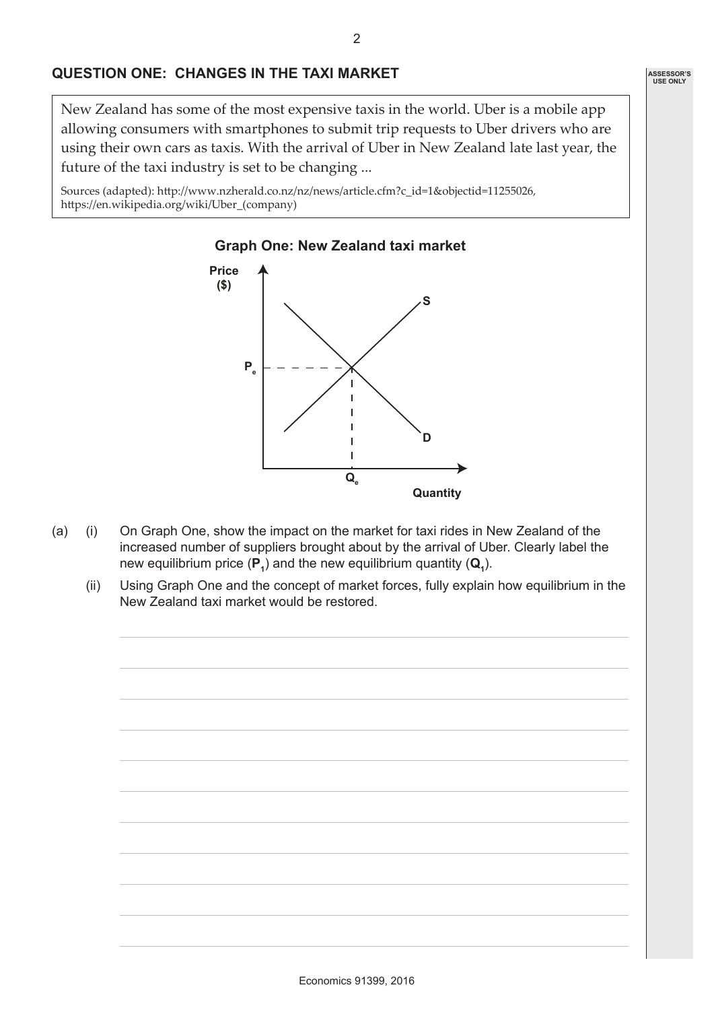### **QUESTION ONE: CHANGES IN THE TAXI MARKET**

New Zealand has some of the most expensive taxis in the world. Uber is a mobile app allowing consumers with smartphones to submit trip requests to Uber drivers who are using their own cars as taxis. With the arrival of Uber in New Zealand late last year, the future of the taxi industry is set to be changing ...

Sources (adapted): http://www.nzherald.co.nz/nz/news/article.cfm?c\_id=1&objectid=11255026, https://en.wikipedia.org/wiki/Uber\_(company)



- (a) (i) On Graph One, show the impact on the market for taxi rides in New Zealand of the increased number of suppliers brought about by the arrival of Uber. Clearly label the new equilibrium price  $(\mathsf{P}_{1})$  and the new equilibrium quantity  $(\mathsf{Q}_{1})$ .
	- (ii) Using Graph One and the concept of market forces, fully explain how equilibrium in the New Zealand taxi market would be restored.

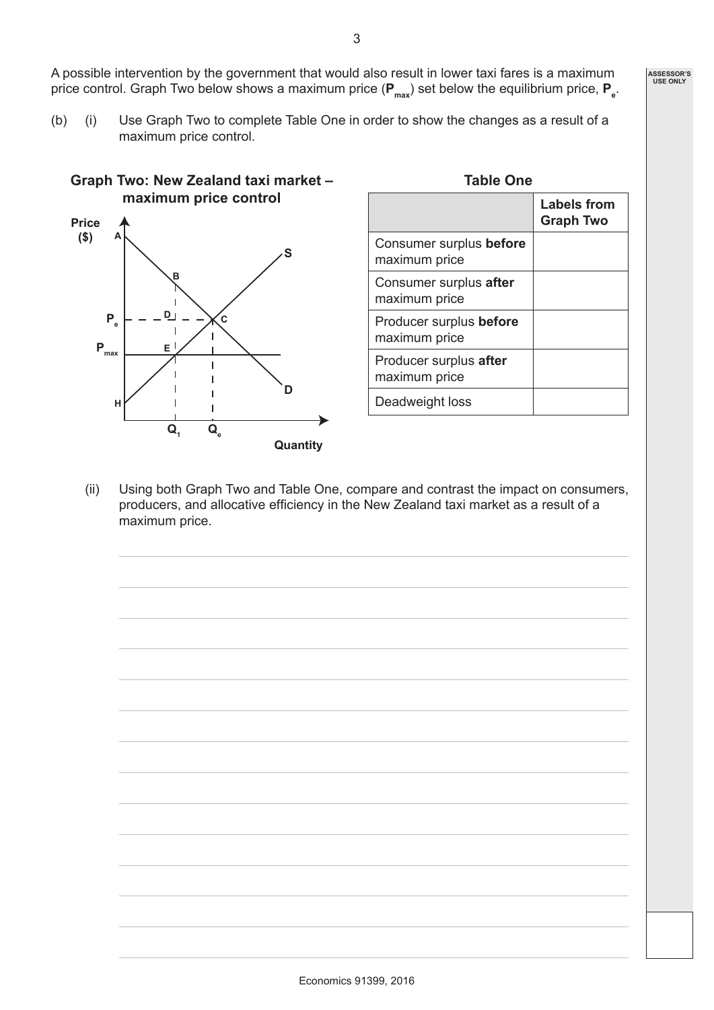A possible intervention by the government that would also result in lower taxi fares is a maximum price control. Graph Two below shows a maximum price ( $P_{\text{max}}$ ) set below the equilibrium price,  $P_{e}$ .

(b) (i) Use Graph Two to complete Table One in order to show the changes as a result of a maximum price control.



| <b>Table One</b>                         |                                        |
|------------------------------------------|----------------------------------------|
|                                          | <b>Labels from</b><br><b>Graph Two</b> |
| Consumer surplus before<br>maximum price |                                        |
| Consumer surplus after<br>maximum price  |                                        |
| Producer surplus before<br>maximum price |                                        |
| Producer surplus after<br>maximum price  |                                        |
| Deadweight loss                          |                                        |

(ii) Using both Graph Two and Table One, compare and contrast the impact on consumers, producers, and allocative efficiency in the New Zealand taxi market as a result of a maximum price.

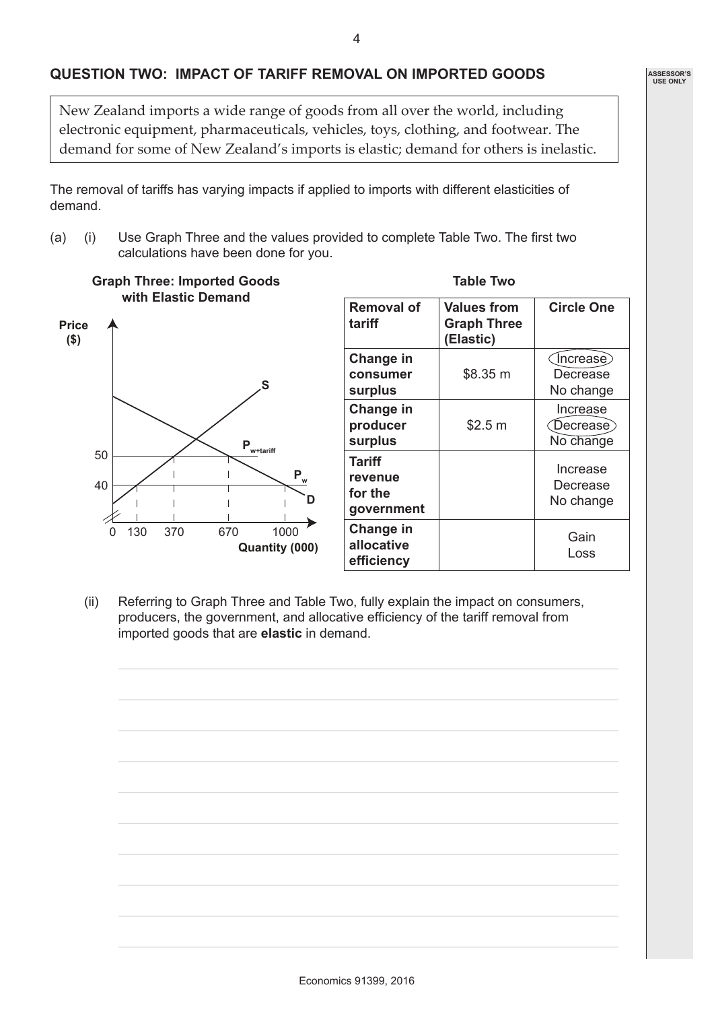#### **QUESTION TWO: IMPACT OF TARIFF REMOVAL ON IMPORTED GOODS**

New Zealand imports a wide range of goods from all over the world, including electronic equipment, pharmaceuticals, vehicles, toys, clothing, and footwear. The demand for some of New Zealand's imports is elastic; demand for others is inelastic.

The removal of tariffs has varying impacts if applied to imports with different elasticities of demand.

(a) (i) Use Graph Three and the values provided to complete Table Two. The first two calculations have been done for you.



(ii) Referring to Graph Three and Table Two, fully explain the impact on consumers, producers, the government, and allocative efficiency of the tariff removal from imported goods that are **elastic** in demand.

**Table Two**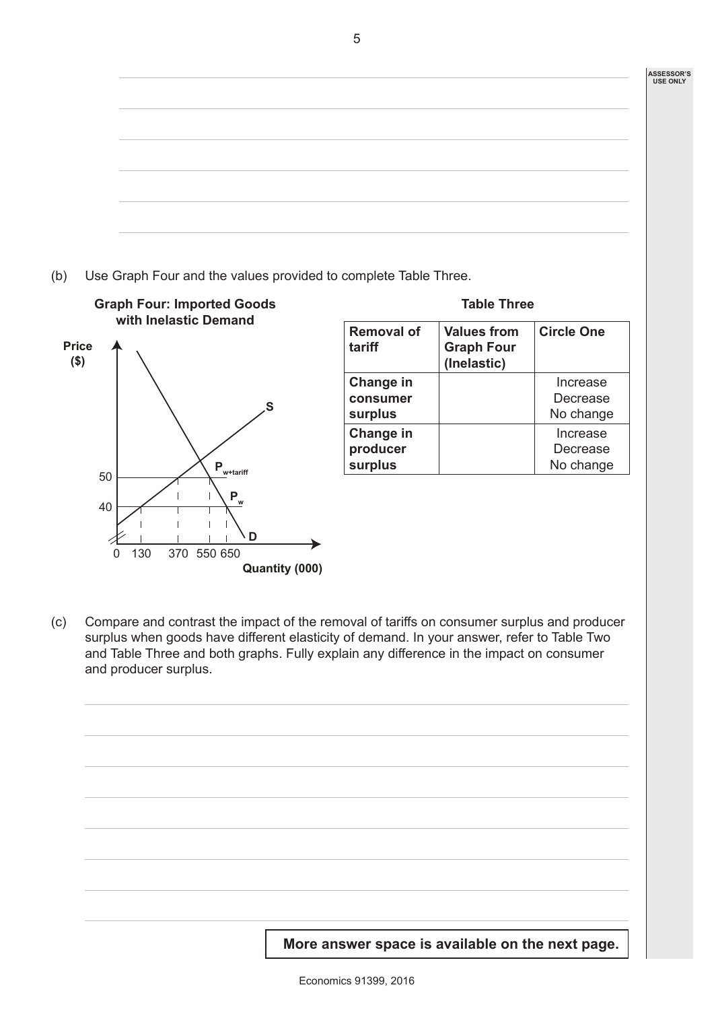**ASSESSOR'S USE ONLY**

(b) Use Graph Four and the values provided to complete Table Three.



|                                  | <b>Table Three</b>                                     |                                   |
|----------------------------------|--------------------------------------------------------|-----------------------------------|
| <b>Removal of</b><br>tariff      | <b>Values from</b><br><b>Graph Four</b><br>(Inelastic) | <b>Circle One</b>                 |
| Change in<br>consumer<br>surplus |                                                        | Increase<br>Decrease<br>No change |
| Change in<br>producer<br>surplus |                                                        | Increase<br>Decrease<br>No change |
|                                  |                                                        |                                   |

(c) Compare and contrast the impact of the removal of tariffs on consumer surplus and producer surplus when goods have different elasticity of demand. In your answer, refer to Table Two and Table Three and both graphs. Fully explain any difference in the impact on consumer and producer surplus.

**More answer space is available on the next page.**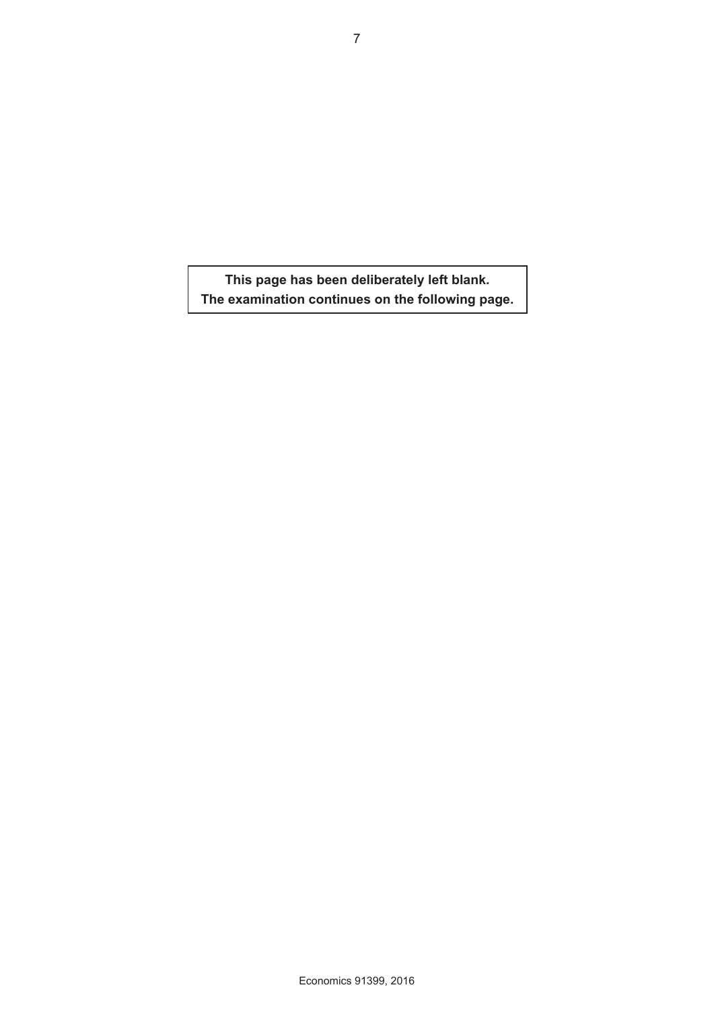**This page has been deliberately left blank. The examination continues on the following page.**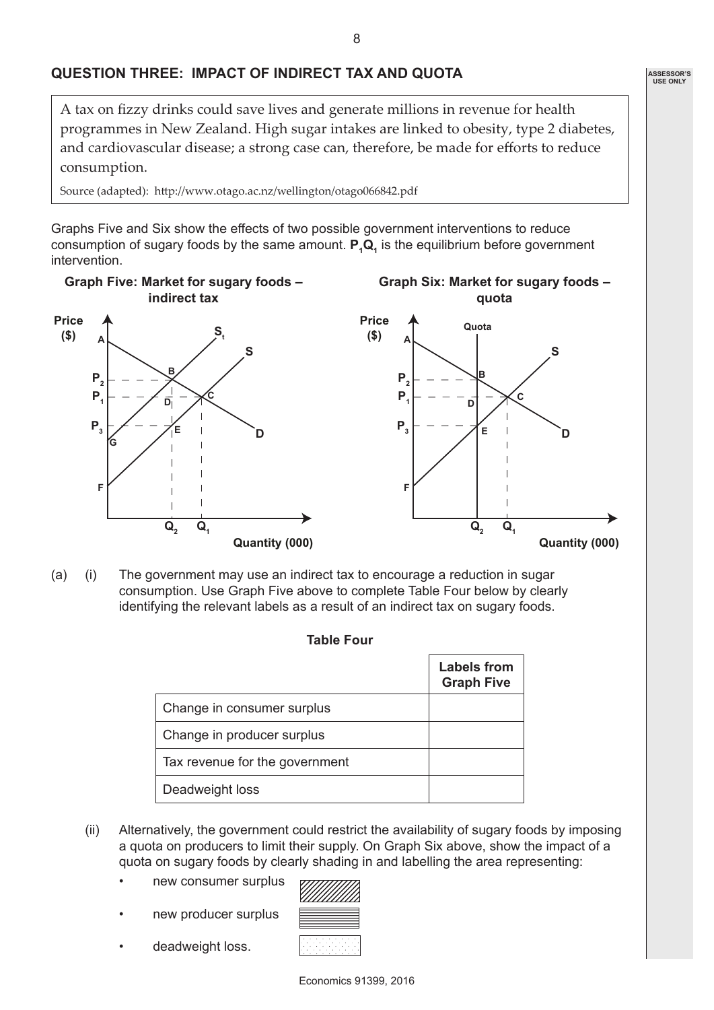## **QUESTION THREE: IMPACT OF INDIRECT TAX AND QUOTA**

A tax on fizzy drinks could save lives and generate millions in revenue for health programmes in New Zealand. High sugar intakes are linked to obesity, type 2 diabetes, and cardiovascular disease; a strong case can, therefore, be made for efforts to reduce consumption.

Source (adapted): http://www.otago.ac.nz/wellington/otago066842.pdf

Graphs Five and Six show the effects of two possible government interventions to reduce consumption of sugary foods by the same amount.  $P_1Q_1$  is the equilibrium before government intervention.



(a) (i) The government may use an indirect tax to encourage a reduction in sugar consumption. Use Graph Five above to complete Table Four below by clearly identifying the relevant labels as a result of an indirect tax on sugary foods.

| <b>Table Four</b>              |                                         |
|--------------------------------|-----------------------------------------|
|                                | <b>Labels from</b><br><b>Graph Five</b> |
| Change in consumer surplus     |                                         |
| Change in producer surplus     |                                         |
| Tax revenue for the government |                                         |
| Deadweight loss                |                                         |

- (ii) Alternatively, the government could restrict the availability of sugary foods by imposing a quota on producers to limit their supply. On Graph Six above, show the impact of a quota on sugary foods by clearly shading in and labelling the area representing:
	- new consumer surplus
	- new producer surplus

<u>VIIIIIIIIII</u>

deadweight loss.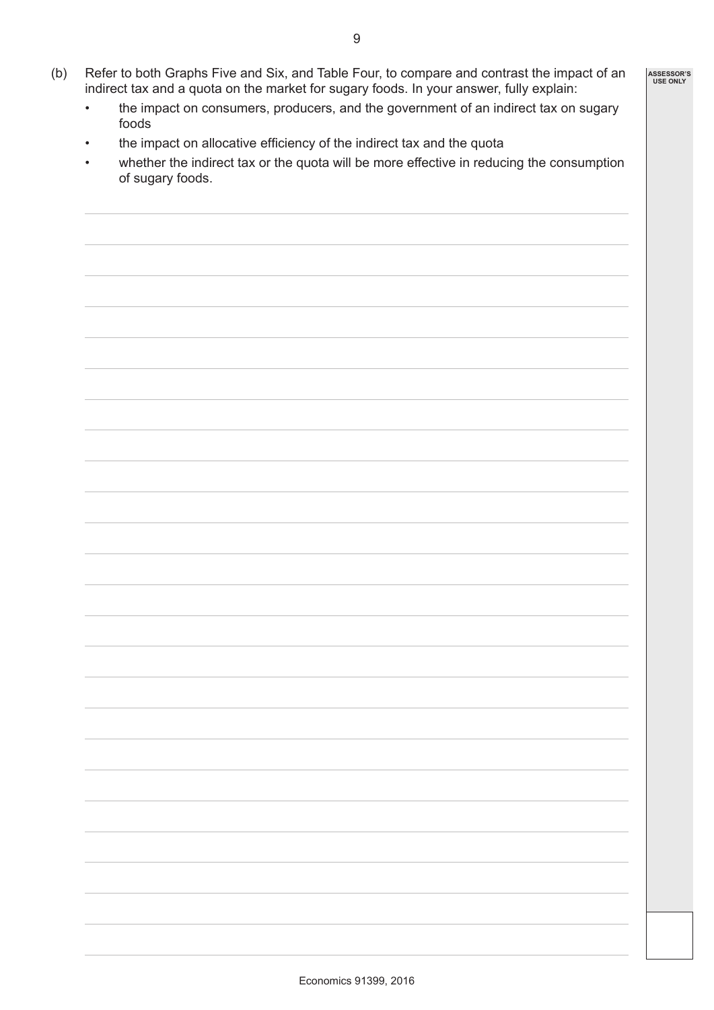- (b) Refer to both Graphs Five and Six, and Table Four, to compare and contrast the impact of an indirect tax and a quota on the market for sugary foods. In your answer, fully explain:
	- the impact on consumers, producers, and the government of an indirect tax on sugary foods
	- the impact on allocative efficiency of the indirect tax and the quota
	- whether the indirect tax or the quota will be more effective in reducing the consumption of sugary foods.